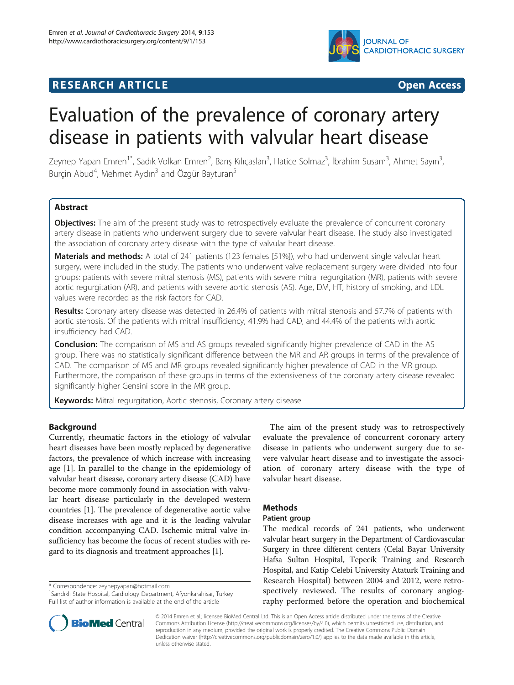

## **RESEARCH ARTICLE Example 2014 CONSIDERING CONSIDERING CONSIDERING CONSIDERING CONSIDERING CONSIDERING CONSIDERING CONSIDERING CONSIDERING CONSIDERING CONSIDERING CONSIDERING CONSIDERING CONSIDERING CONSIDERING CONSIDE**

# Evaluation of the prevalence of coronary artery disease in patients with valvular heart disease

Zeynep Yapan Emren<sup>1\*</sup>, Sadık Volkan Emren<sup>2</sup>, Barış Kılıçaslan<sup>3</sup>, Hatice Solmaz<sup>3</sup>, İbrahim Susam<sup>3</sup>, Ahmet Sayın<sup>3</sup> , Burçin Abud<sup>4</sup>, Mehmet Aydın<sup>3</sup> and Özgür Bayturan<sup>5</sup>

## Abstract

Objectives: The aim of the present study was to retrospectively evaluate the prevalence of concurrent coronary artery disease in patients who underwent surgery due to severe valvular heart disease. The study also investigated the association of coronary artery disease with the type of valvular heart disease.

Materials and methods: A total of 241 patients (123 females [51%]), who had underwent single valvular heart surgery, were included in the study. The patients who underwent valve replacement surgery were divided into four groups: patients with severe mitral stenosis (MS), patients with severe mitral regurgitation (MR), patients with severe aortic regurgitation (AR), and patients with severe aortic stenosis (AS). Age, DM, HT, history of smoking, and LDL values were recorded as the risk factors for CAD.

Results: Coronary artery disease was detected in 26.4% of patients with mitral stenosis and 57.7% of patients with aortic stenosis. Of the patients with mitral insufficiency, 41.9% had CAD, and 44.4% of the patients with aortic insufficiency had CAD.

**Conclusion:** The comparison of MS and AS groups revealed significantly higher prevalence of CAD in the AS group. There was no statistically significant difference between the MR and AR groups in terms of the prevalence of CAD. The comparison of MS and MR groups revealed significantly higher prevalence of CAD in the MR group. Furthermore, the comparison of these groups in terms of the extensiveness of the coronary artery disease revealed significantly higher Gensini score in the MR group.

Keywords: Mitral regurgitation, Aortic stenosis, Coronary artery disease

## Background

Currently, rheumatic factors in the etiology of valvular heart diseases have been mostly replaced by degenerative factors, the prevalence of which increase with increasing age [[1\]](#page-3-0). In parallel to the change in the epidemiology of valvular heart disease, coronary artery disease (CAD) have become more commonly found in association with valvular heart disease particularly in the developed western countries [\[1](#page-3-0)]. The prevalence of degenerative aortic valve disease increases with age and it is the leading valvular condition accompanying CAD. Ischemic mitral valve insufficiency has become the focus of recent studies with regard to its diagnosis and treatment approaches [\[1\]](#page-3-0).

\* Correspondence: [zeynepyapan@hotmail.com](mailto:zeynepyapan@hotmail.com) <sup>1</sup>

The aim of the present study was to retrospectively evaluate the prevalence of concurrent coronary artery disease in patients who underwent surgery due to severe valvular heart disease and to investigate the association of coronary artery disease with the type of valvular heart disease.

## Methods

## Patient group

The medical records of 241 patients, who underwent valvular heart surgery in the Department of Cardiovascular Surgery in three different centers (Celal Bayar University Hafsa Sultan Hospital, Tepecik Training and Research Hospital, and Katip Celebi University Ataturk Training and Research Hospital) between 2004 and 2012, were retrospectively reviewed. The results of coronary angiography performed before the operation and biochemical



© 2014 Emren et al.; licensee BioMed Central Ltd. This is an Open Access article distributed under the terms of the Creative Commons Attribution License [\(http://creativecommons.org/licenses/by/4.0\)](http://creativecommons.org/licenses/by/4.0), which permits unrestricted use, distribution, and reproduction in any medium, provided the original work is properly credited. The Creative Commons Public Domain Dedication waiver [\(http://creativecommons.org/publicdomain/zero/1.0/](http://creativecommons.org/publicdomain/zero/1.0/)) applies to the data made available in this article, unless otherwise stated.

<sup>&</sup>lt;sup>1</sup> Sandıklı State Hospital, Cardiology Department, Afyonkarahisar, Turkey Full list of author information is available at the end of the article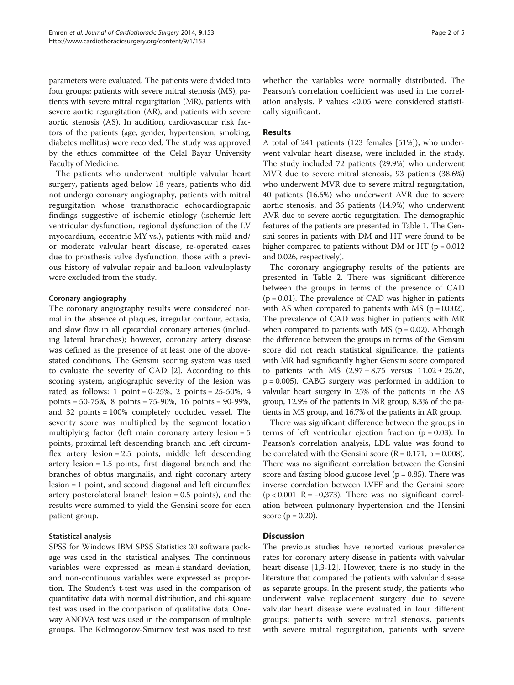parameters were evaluated. The patients were divided into four groups: patients with severe mitral stenosis (MS), patients with severe mitral regurgitation (MR), patients with severe aortic regurgitation (AR), and patients with severe aortic stenosis (AS). In addition, cardiovascular risk factors of the patients (age, gender, hypertension, smoking, diabetes mellitus) were recorded. The study was approved by the ethics committee of the Celal Bayar University Faculty of Medicine.

The patients who underwent multiple valvular heart surgery, patients aged below 18 years, patients who did not undergo coronary angiography, patients with mitral regurgitation whose transthoracic echocardiographic findings suggestive of ischemic etiology (ischemic left ventricular dysfunction, regional dysfunction of the LV myocardium, eccentric MY vs.), patients with mild and/ or moderate valvular heart disease, re-operated cases due to prosthesis valve dysfunction, those with a previous history of valvular repair and balloon valvuloplasty were excluded from the study.

## Coronary angiography

The coronary angiography results were considered normal in the absence of plaques, irregular contour, ectasia, and slow flow in all epicardial coronary arteries (including lateral branches); however, coronary artery disease was defined as the presence of at least one of the abovestated conditions. The Gensini scoring system was used to evaluate the severity of CAD [\[2](#page-4-0)]. According to this scoring system, angiographic severity of the lesion was rated as follows: 1 point =  $0-25\%$ , 2 points =  $25-50\%$ , 4 points = 50-75%, 8 points = 75-90%, 16 points = 90-99%, and 32 points = 100% completely occluded vessel. The severity score was multiplied by the segment location multiplying factor (left main coronary artery lesion = 5 points, proximal left descending branch and left circumflex artery lesion = 2.5 points, middle left descending artery lesion = 1.5 points, first diagonal branch and the branches of obtus marginalis, and right coronary artery lesion = 1 point, and second diagonal and left circumflex artery posterolateral branch lesion = 0.5 points), and the results were summed to yield the Gensini score for each patient group.

## Statistical analysis

SPSS for Windows IBM SPSS Statistics 20 software package was used in the statistical analyses. The continuous variables were expressed as mean ± standard deviation, and non-continuous variables were expressed as proportion. The Student's t-test was used in the comparison of quantitative data with normal distribution, and chi-square test was used in the comparison of qualitative data. Oneway ANOVA test was used in the comparison of multiple groups. The Kolmogorov-Smirnov test was used to test whether the variables were normally distributed. The Pearson's correlation coefficient was used in the correlation analysis. P values <0.05 were considered statistically significant.

## Results

A total of 241 patients (123 females [51%]), who underwent valvular heart disease, were included in the study. The study included 72 patients (29.9%) who underwent MVR due to severe mitral stenosis, 93 patients (38.6%) who underwent MVR due to severe mitral regurgitation, 40 patients (16.6%) who underwent AVR due to severe aortic stenosis, and 36 patients (14.9%) who underwent AVR due to severe aortic regurgitation. The demographic features of the patients are presented in Table [1.](#page-2-0) The Gensini scores in patients with DM and HT were found to be higher compared to patients without DM or HT ( $p = 0.012$ ) and 0.026, respectively).

The coronary angiography results of the patients are presented in Table [2](#page-2-0). There was significant difference between the groups in terms of the presence of CAD  $(p = 0.01)$ . The prevalence of CAD was higher in patients with AS when compared to patients with MS ( $p = 0.002$ ). The prevalence of CAD was higher in patients with MR when compared to patients with MS ( $p = 0.02$ ). Although the difference between the groups in terms of the Gensini score did not reach statistical significance, the patients with MR had significantly higher Gensini score compared to patients with MS  $(2.97 \pm 8.75$  versus  $11.02 \pm 25.26$ , p = 0.005). CABG surgery was performed in addition to valvular heart surgery in 25% of the patients in the AS group, 12.9% of the patients in MR group, 8.3% of the patients in MS group, and 16.7% of the patients in AR group.

There was significant difference between the groups in terms of left ventricular ejection fraction ( $p = 0.03$ ). In Pearson's correlation analysis, LDL value was found to be correlated with the Gensini score  $(R = 0.171, p = 0.008)$ . There was no significant correlation between the Gensini score and fasting blood glucose level ( $p = 0.85$ ). There was inverse correlation between LVEF and the Gensini score  $(p < 0,001$  R =  $-0,373$ ). There was no significant correlation between pulmonary hypertension and the Hensini score ( $p = 0.20$ ).

## **Discussion**

The previous studies have reported various prevalence rates for coronary artery disease in patients with valvular heart disease [\[1](#page-3-0)[,3](#page-4-0)-[12](#page-4-0)]. However, there is no study in the literature that compared the patients with valvular disease as separate groups. In the present study, the patients who underwent valve replacement surgery due to severe valvular heart disease were evaluated in four different groups: patients with severe mitral stenosis, patients with severe mitral regurgitation, patients with severe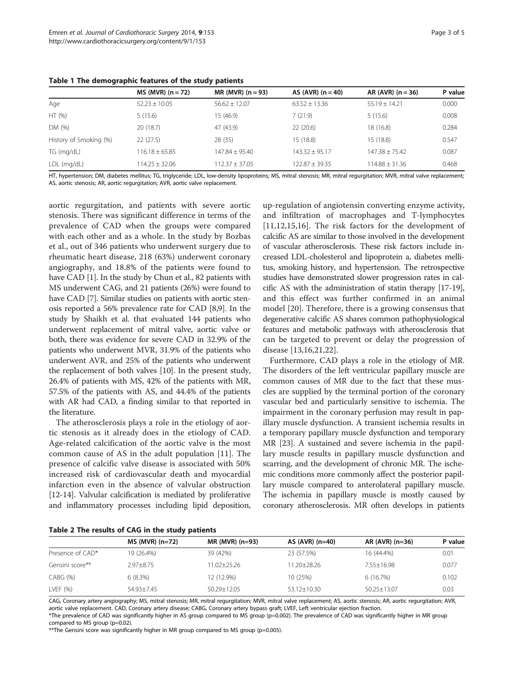|                        | $MS$ (MVR) (n = 72) | $MR$ (MVR) (n = 93) | AS (AVR) $(n = 40)$ | AR (AVR) $(n = 36)$ | P value |
|------------------------|---------------------|---------------------|---------------------|---------------------|---------|
| Age                    | $52.23 \pm 10.05$   | $56.62 + 12.07$     | $63.52 + 13.36$     | $55.19 + 14.21$     | 0.000   |
| HT (%)                 | 5(15.6)             | 15 (46.9)           | 7(21.9)             | 5(15.6)             | 0.008   |
| DM (%)                 | 20 (18.7)           | 47 (43.9)           | 22(20.6)            | 18 (16.8)           | 0.284   |
| History of Smoking (%) | 22(27.5)            | 28 (35)             | 15(18.8)            | 15 (18.8)           | 0.547   |
| TG (mg/dL)             | $116.18 \pm 65.85$  | $147.84 + 95.40$    | $143.32 + 95.17$    | $147.38 + 75.42$    | 0.087   |
| LDL (mg/dL)            | $14.25 + 32.06$     | 112.37 + 37.05      | 122.87 + 39.35      | $114.88 + 31.36$    | 0.468   |

<span id="page-2-0"></span>Table 1 The demographic features of the study patients

HT, hypertension; DM, diabetes mellitus; TG, triglyceride; LDL, low-density lipoproteins; MS, mitral stenosis; MR, mitral regurgitation; MVR, mitral valve replacement; AS, aortic stenosis; AR, aortic regurgitation; AVR, aortic valve replacement.

aortic regurgitation, and patients with severe aortic stenosis. There was significant difference in terms of the prevalence of CAD when the groups were compared with each other and as a whole. In the study by Bozbas et al., out of 346 patients who underwent surgery due to rheumatic heart disease, 218 (63%) underwent coronary angiography, and 18.8% of the patients were found to have CAD [[1\]](#page-3-0). In the study by Chun et al., 82 patients with MS underwent CAG, and 21 patients (26%) were found to have CAD [\[7\]](#page-4-0). Similar studies on patients with aortic stenosis reported a 56% prevalence rate for CAD [[8,9\]](#page-4-0). In the study by Shaikh et al. that evaluated 144 patients who underwent replacement of mitral valve, aortic valve or both, there was evidence for severe CAD in 32.9% of the patients who underwent MVR, 31.9% of the patients who underwent AVR, and 25% of the patients who underwent the replacement of both valves [\[10\]](#page-4-0). In the present study, 26.4% of patients with MS, 42% of the patients with MR, 57.5% of the patients with AS, and 44.4% of the patients with AR had CAD, a finding similar to that reported in the literature.

The atherosclerosis plays a role in the etiology of aortic stenosis as it already does in the etiology of CAD. Age-related calcification of the aortic valve is the most common cause of AS in the adult population [\[11](#page-4-0)]. The presence of calcific valve disease is associated with 50% increased risk of cardiovascular death and myocardial infarction even in the absence of valvular obstruction [[12](#page-4-0)-[14\]](#page-4-0). Valvular calcification is mediated by proliferative and inflammatory processes including lipid deposition,

up-regulation of angiotensin converting enzyme activity, and infiltration of macrophages and T-lymphocytes [[11,12,15](#page-4-0),[16\]](#page-4-0). The risk factors for the development of calcific AS are similar to those involved in the development of vascular atherosclerosis. These risk factors include increased LDL-cholesterol and lipoprotein a, diabetes mellitus, smoking history, and hypertension. The retrospective studies have demonstrated slower progression rates in calcific AS with the administration of statin therapy [\[17-19](#page-4-0)], and this effect was further confirmed in an animal model [[20\]](#page-4-0). Therefore, there is a growing consensus that degenerative calcific AS shares common pathophysiological features and metabolic pathways with atherosclerosis that can be targeted to prevent or delay the progression of disease [[13,16,21](#page-4-0),[22\]](#page-4-0).

Furthermore, CAD plays a role in the etiology of MR. The disorders of the left ventricular papillary muscle are common causes of MR due to the fact that these muscles are supplied by the terminal portion of the coronary vascular bed and particularly sensitive to ischemia. The impairment in the coronary perfusion may result in papillary muscle dysfunction. A transient ischemia results in a temporary papillary muscle dysfunction and temporary MR [[23\]](#page-4-0). A sustained and severe ischemia in the papillary muscle results in papillary muscle dysfunction and scarring, and the development of chronic MR. The ischemic conditions more commonly affect the posterior papillary muscle compared to anterolateral papillary muscle. The ischemia in papillary muscle is mostly caused by coronary atherosclerosis. MR often develops in patients

|  | Table 2 The results of CAG in the study patients |  |  |  |  |  |  |
|--|--------------------------------------------------|--|--|--|--|--|--|
|--|--------------------------------------------------|--|--|--|--|--|--|

|                  | $MS$ (MVR) (n=72) | $MR$ (MVR) (n=93) | AS $(AVR)$ $(n=40)$ | AR (AVR) (n=36) | P value |  |
|------------------|-------------------|-------------------|---------------------|-----------------|---------|--|
| Presence of CAD* | 19 (26.4%)        | 39 (42%)          | 23 (57.5%)          | 16 (44.4%)      | 0.01    |  |
| Gensini score**  | $2.97 + 8.75$     | 11.02+25.26       | 11.20+28.26         | $7.55 + 16.98$  | 0.077   |  |
| CABG (%)         | 6(8.3%)           | 12 (12.9%)        | 10 (25%)            | 6(16.7%)        | 0.102   |  |
| LVEF $(% )$      | $54.93 + 7.45$    | $50.29 + 12.05$   | $53.12 + 10.30$     | $50.25 + 13.07$ | 0.03    |  |

CAG, Coronary artery angiography; MS, mitral stenosis; MR, mitral regurgitation; MVR, mitral valve replacement; AS, aortic stenosis; AR, aortic regurgitation; AVR, aortic valve replacement. CAD, Coronary artery disease; CABG, Coronary artery bypass graft; LVEF, Left ventricular ejection fraction. \*The prevalence of CAD was significantly higher in AS group compared to MS group (p=0.002). The prevalence of CAD was significantly higher in MR group compared to MS group (p=0.02).

\*\*The Gensini score was significantly higher in MR group compared to MS group (p=0.005).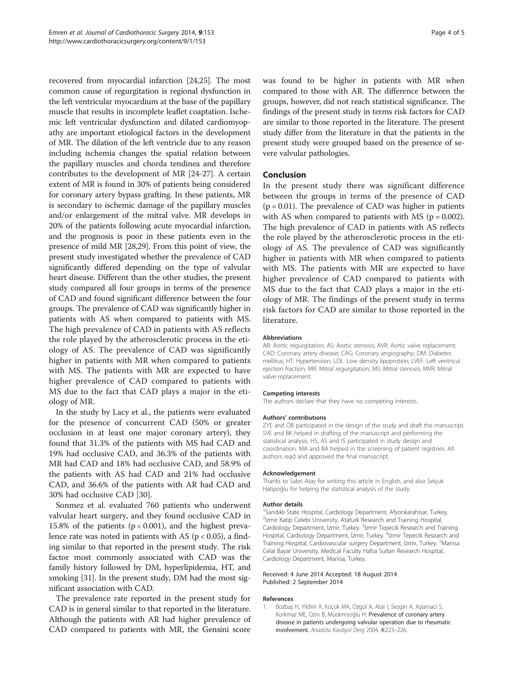<span id="page-3-0"></span>recovered from myocardial infarction [\[24,25](#page-4-0)]. The most common cause of regurgitation is regional dysfunction in the left ventricular myocardium at the base of the papillary muscle that results in incomplete leaflet coaptation. Ischemic left ventricular dysfunction and dilated cardiomyopathy are important etiological factors in the development of MR. The dilation of the left ventricle due to any reason including ischemia changes the spatial relation between the papillary muscles and chorda tendinea and therefore contributes to the development of MR [\[24-27](#page-4-0)]. A certain extent of MR is found in 30% of patients being considered for coronary artery bypass grafting. In these patients, MR is secondary to ischemic damage of the papillary muscles and/or enlargement of the mitral valve. MR develops in 20% of the patients following acute myocardial infarction, and the prognosis is poor in these patients even in the presence of mild MR [[28,29](#page-4-0)]. From this point of view, the present study investigated whether the prevalence of CAD significantly differed depending on the type of valvular heart disease. Different than the other studies, the present study compared all four groups in terms of the presence of CAD and found significant difference between the four groups. The prevalence of CAD was significantly higher in patients with AS when compared to patients with MS. The high prevalence of CAD in patients with AS reflects the role played by the atherosclerotic process in the etiology of AS. The prevalence of CAD was significantly higher in patients with MR when compared to patients with MS. The patients with MR are expected to have higher prevalence of CAD compared to patients with MS due to the fact that CAD plays a major in the etiology of MR.

In the study by Lacy et al., the patients were evaluated for the presence of concurrent CAD (50% or greater occlusion in at least one major coronary artery), they found that 31.3% of the patients with MS had CAD and 19% had occlusive CAD, and 36.3% of the patients with MR had CAD and 18% had occlusive CAD, and 58.9% of the patients with AS had CAD and 21% had occlusive CAD, and 36.6% of the patients with AR had CAD and 30% had occlusive CAD [\[30](#page-4-0)].

Sonmez et al. evaluated 760 patients who underwent valvular heart surgery, and they found occlusive CAD in 15.8% of the patients ( $p < 0.001$ ), and the highest prevalence rate was noted in patients with AS ( $p < 0.05$ ), a finding similar to that reported in the present study. The risk factor most commonly associated with CAD was the family history followed by DM, hyperlipidemia, HT, and smoking [[31](#page-4-0)]. In the present study, DM had the most significant association with CAD.

The prevalence rate reported in the present study for CAD is in general similar to that reported in the literature. Although the patients with AR had higher prevalence of CAD compared to patients with MR, the Gensini score

was found to be higher in patients with MR when compared to those with AR. The difference between the groups, however, did not reach statistical significance. The findings of the present study in terms risk factors for CAD are similar to those reported in the literature. The present study differ from the literature in that the patients in the present study were grouped based on the presence of severe valvular pathologies.

## Conclusion

In the present study there was significant difference between the groups in terms of the presence of CAD  $(p = 0.01)$ . The prevalence of CAD was higher in patients with AS when compared to patients with MS ( $p = 0.002$ ). The high prevalence of CAD in patients with AS reflects the role played by the atherosclerotic process in the etiology of AS. The prevalence of CAD was significantly higher in patients with MR when compared to patients with MS. The patients with MR are expected to have higher prevalence of CAD compared to patients with MS due to the fact that CAD plays a major in the etiology of MR. The findings of the present study in terms risk factors for CAD are similar to those reported in the literature.

#### Abbreviations

AR: Aortic regurgitation; AS: Aortic stenosis; AVR: Aortic valve replacement; CAD: Coronary artery disease; CAG: Coronary angiography; DM: Diabetes mellitus; HT: Hypertension; LDL: Low density lipoprotein; LVEF: Left ventricul ejection fraction; MR: Mitral regurgitation; MS: Mitral stenosis; MVR: Mitral valve replacement.

#### Competing interests

The authors declare that they have no competing interests.

#### Authors' contrıbutıons

ZYE and ÖB participated in the design of the study and draft the manuscript. SVE and BK helped in drafting of the manuscript and performing the statistical analysis. HS, AS and IS participated in study design and coordination. MA and BA helped in the screening of patient registries. All authors read and approved the final manuscript.

#### Acknowledgement

Thanks to Sabri Atay for writing this article in English, and also Selçuk Hatipoğlu for helping the statistical analysis of the study.

#### Author details

<sup>1</sup> Sandıklı State Hospital, Cardiology Department, Afyonkarahisar, Turkey.<br><sup>2</sup>Izmir Katin Celebi University, Ataturk Besearch and Training Hospital. <sup>2</sup>Izmir Katip Celebi University, Ataturk Research and Training Hospital, Cardiology Department, İzmir, Turkey. <sup>3</sup>Izmir Tepecik Research and Training Hospital, Cardiology Department, İzmir, Turkey. <sup>4</sup>Izmir Tepecik Research and Training Hospital, Cardiovascular surgery Department, İzmir, Turkey. <sup>5</sup>Manisa Celal Bayar University, Medical Faculty Hafsa Sultan Research Hospital, Cardiology Department, Manisa, Turkey.

#### Received: 4 June 2014 Accepted: 18 August 2014 Published: 2 September 2014

#### References

1. Bozbaş H, Yildirir A, Küçük MA, Ozgül A, Atar I, Sezgin A, Aşlamaci S, Korkmaz ME, Ozin B, Müderrisoğlu H: Prevalence of coronary artery disease in patients undergoing valvular operation due to rheumatic involvement. Anadolu Kardiyol Derg 2004, 4:223–226.